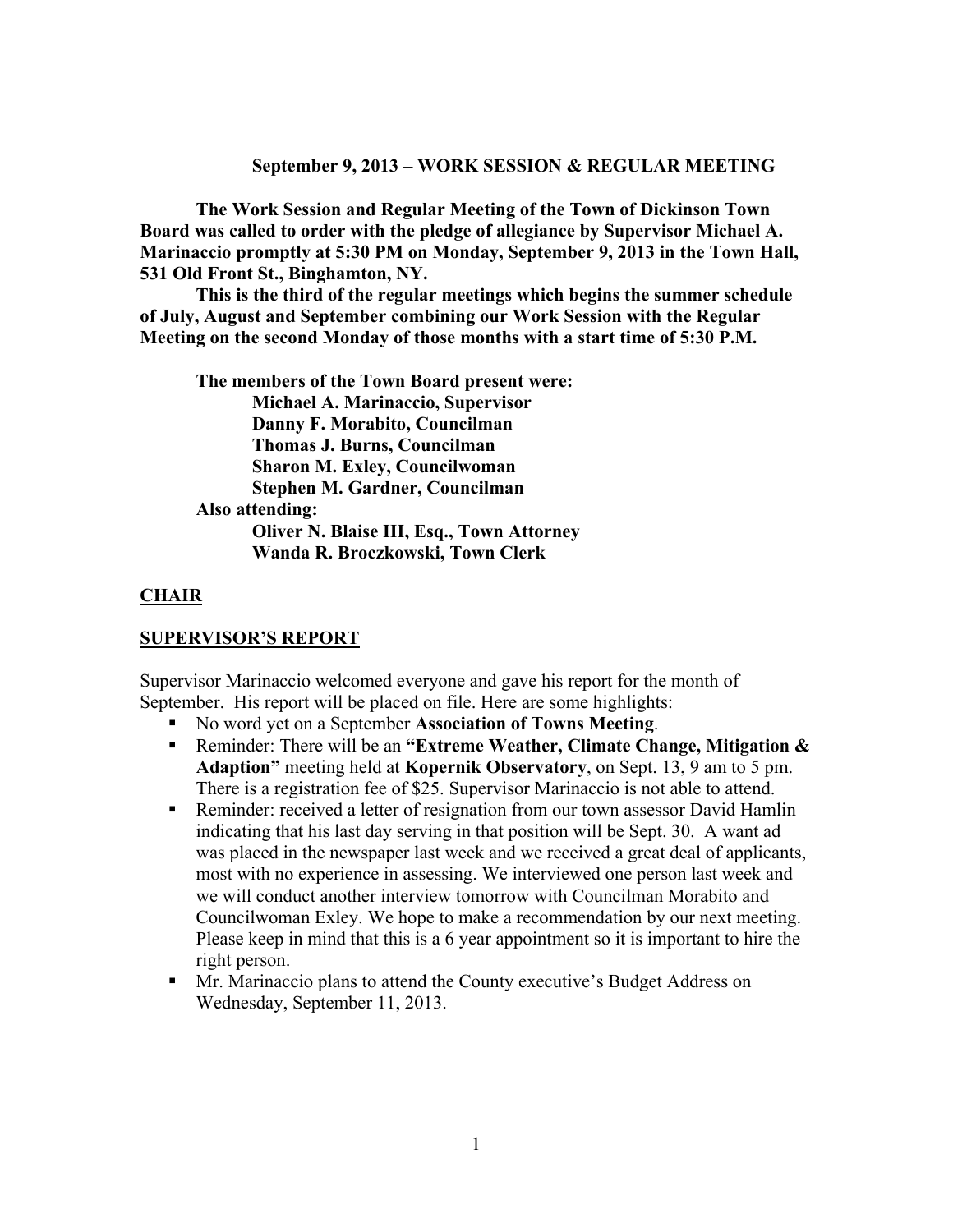#### **September 9, 2013 – WORK SESSION & REGULAR MEETING**

**The Work Session and Regular Meeting of the Town of Dickinson Town Board was called to order with the pledge of allegiance by Supervisor Michael A. Marinaccio promptly at 5:30 PM on Monday, September 9, 2013 in the Town Hall, 531 Old Front St., Binghamton, NY.** 

**This is the third of the regular meetings which begins the summer schedule of July, August and September combining our Work Session with the Regular Meeting on the second Monday of those months with a start time of 5:30 P.M.** 

**The members of the Town Board present were: Michael A. Marinaccio, Supervisor Danny F. Morabito, Councilman Thomas J. Burns, Councilman Sharon M. Exley, Councilwoman Stephen M. Gardner, Councilman Also attending: Oliver N. Blaise III, Esq., Town Attorney Wanda R. Broczkowski, Town Clerk** 

#### **CHAIR**

#### **SUPERVISOR'S REPORT**

Supervisor Marinaccio welcomed everyone and gave his report for the month of September. His report will be placed on file. Here are some highlights:

- No word yet on a September **Association of Towns Meeting**.
- Reminder: There will be an **"Extreme Weather, Climate Change, Mitigation & Adaption"** meeting held at **Kopernik Observatory**, on Sept. 13, 9 am to 5 pm. There is a registration fee of \$25. Supervisor Marinaccio is not able to attend.
- Reminder: received a letter of resignation from our town assessor David Hamlin indicating that his last day serving in that position will be Sept. 30. A want ad was placed in the newspaper last week and we received a great deal of applicants, most with no experience in assessing. We interviewed one person last week and we will conduct another interview tomorrow with Councilman Morabito and Councilwoman Exley. We hope to make a recommendation by our next meeting. Please keep in mind that this is a 6 year appointment so it is important to hire the right person.
- Mr. Marinaccio plans to attend the County executive's Budget Address on Wednesday, September 11, 2013.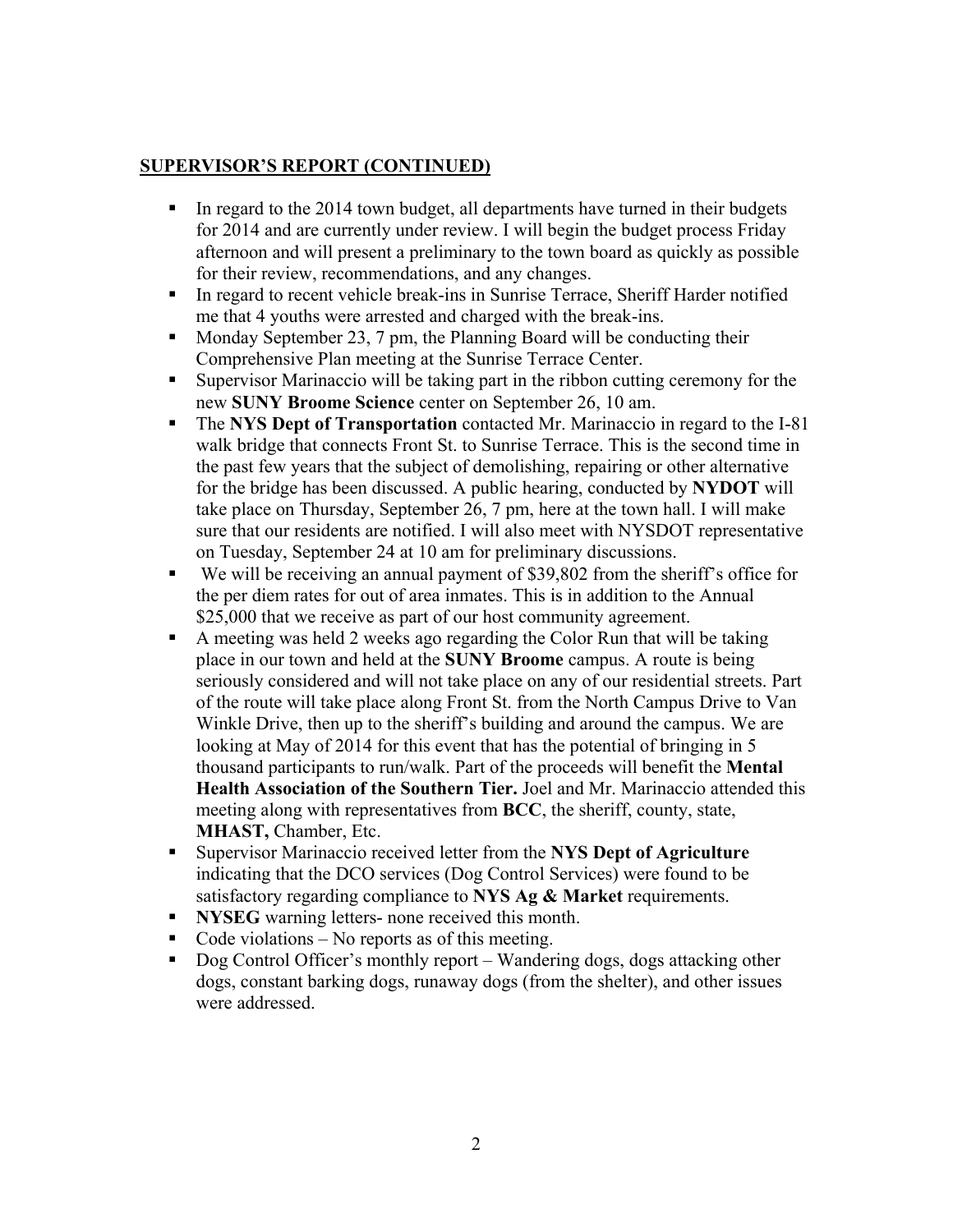### **SUPERVISOR'S REPORT (CONTINUED)**

- In regard to the 2014 town budget, all departments have turned in their budgets for 2014 and are currently under review. I will begin the budget process Friday afternoon and will present a preliminary to the town board as quickly as possible for their review, recommendations, and any changes.
- In regard to recent vehicle break-ins in Sunrise Terrace, Sheriff Harder notified me that 4 youths were arrested and charged with the break-ins.
- $\blacksquare$  Monday September 23, 7 pm, the Planning Board will be conducting their Comprehensive Plan meeting at the Sunrise Terrace Center.
- Supervisor Marinaccio will be taking part in the ribbon cutting ceremony for the new **SUNY Broome Science** center on September 26, 10 am.
- The **NYS Dept of Transportation** contacted Mr. Marinaccio in regard to the I-81 walk bridge that connects Front St. to Sunrise Terrace. This is the second time in the past few years that the subject of demolishing, repairing or other alternative for the bridge has been discussed. A public hearing, conducted by **NYDOT** will take place on Thursday, September 26, 7 pm, here at the town hall. I will make sure that our residents are notified. I will also meet with NYSDOT representative on Tuesday, September 24 at 10 am for preliminary discussions.
- We will be receiving an annual payment of \$39,802 from the sheriff's office for the per diem rates for out of area inmates. This is in addition to the Annual \$25,000 that we receive as part of our host community agreement.
- A meeting was held 2 weeks ago regarding the Color Run that will be taking place in our town and held at the **SUNY Broome** campus. A route is being seriously considered and will not take place on any of our residential streets. Part of the route will take place along Front St. from the North Campus Drive to Van Winkle Drive, then up to the sheriff's building and around the campus. We are looking at May of 2014 for this event that has the potential of bringing in 5 thousand participants to run/walk. Part of the proceeds will benefit the **Mental Health Association of the Southern Tier.** Joel and Mr. Marinaccio attended this meeting along with representatives from **BCC**, the sheriff, county, state, **MHAST,** Chamber, Etc.
- Supervisor Marinaccio received letter from the **NYS Dept of Agriculture** indicating that the DCO services (Dog Control Services) were found to be satisfactory regarding compliance to **NYS Ag & Market** requirements.
- **NYSEG** warning letters- none received this month.
- Code violations No reports as of this meeting.
- Dog Control Officer's monthly report Wandering dogs, dogs attacking other dogs, constant barking dogs, runaway dogs (from the shelter), and other issues were addressed.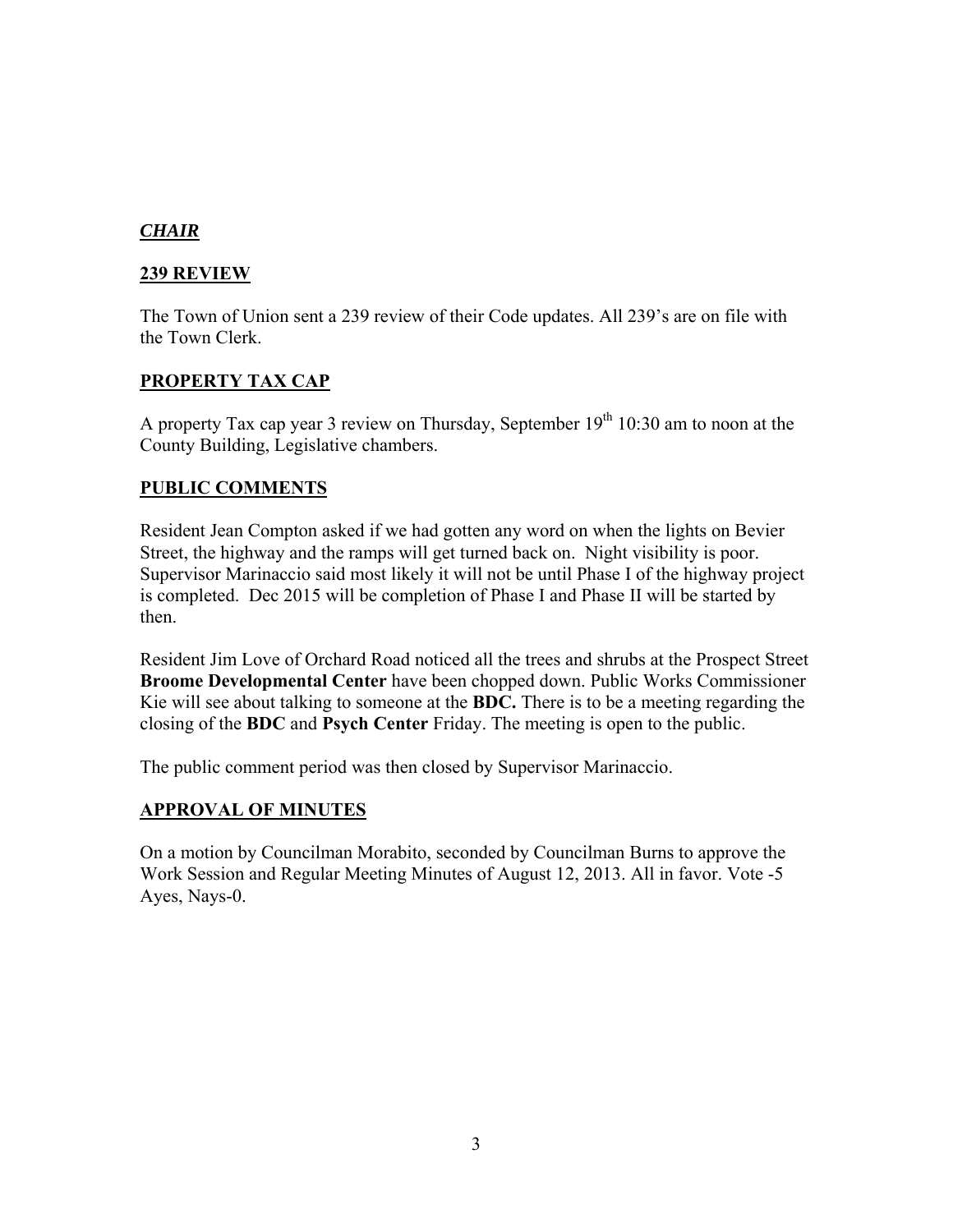## *CHAIR*

### **239 REVIEW**

The Town of Union sent a 239 review of their Code updates. All 239's are on file with the Town Clerk.

### **PROPERTY TAX CAP**

A property Tax cap year 3 review on Thursday, September  $19<sup>th</sup> 10:30$  am to noon at the County Building, Legislative chambers.

### **PUBLIC COMMENTS**

Resident Jean Compton asked if we had gotten any word on when the lights on Bevier Street, the highway and the ramps will get turned back on. Night visibility is poor. Supervisor Marinaccio said most likely it will not be until Phase I of the highway project is completed. Dec 2015 will be completion of Phase I and Phase II will be started by then.

Resident Jim Love of Orchard Road noticed all the trees and shrubs at the Prospect Street **Broome Developmental Center** have been chopped down. Public Works Commissioner Kie will see about talking to someone at the **BDC.** There is to be a meeting regarding the closing of the **BDC** and **Psych Center** Friday. The meeting is open to the public.

The public comment period was then closed by Supervisor Marinaccio.

### **APPROVAL OF MINUTES**

On a motion by Councilman Morabito, seconded by Councilman Burns to approve the Work Session and Regular Meeting Minutes of August 12, 2013. All in favor. Vote -5 Ayes, Nays-0.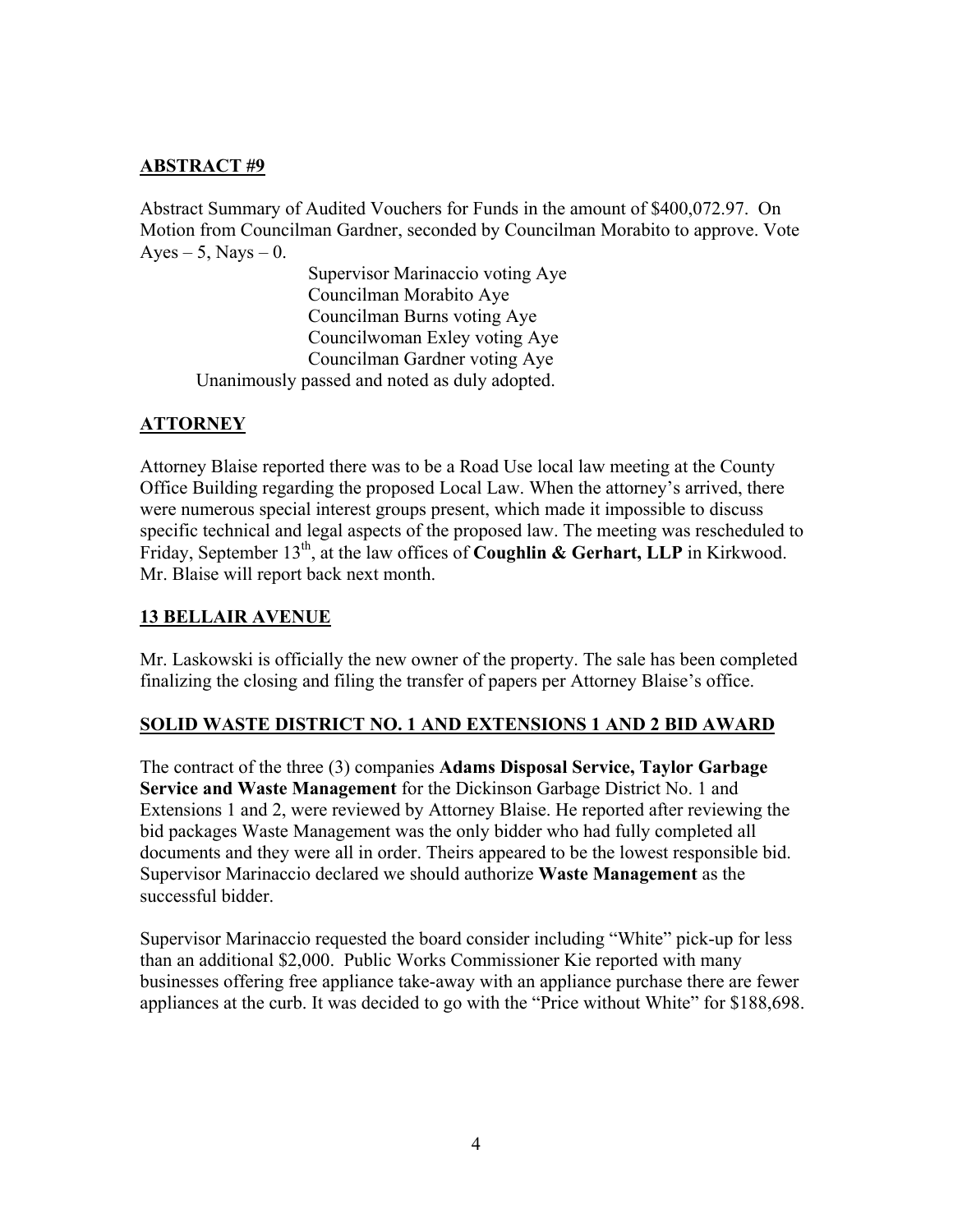### **ABSTRACT #9**

Abstract Summary of Audited Vouchers for Funds in the amount of \$400,072.97. On Motion from Councilman Gardner, seconded by Councilman Morabito to approve. Vote  $Ayes - 5$ , Nays  $-0$ .

 Supervisor Marinaccio voting Aye Councilman Morabito Aye Councilman Burns voting Aye Councilwoman Exley voting Aye Councilman Gardner voting Aye Unanimously passed and noted as duly adopted.

# **ATTORNEY**

Attorney Blaise reported there was to be a Road Use local law meeting at the County Office Building regarding the proposed Local Law. When the attorney's arrived, there were numerous special interest groups present, which made it impossible to discuss specific technical and legal aspects of the proposed law. The meeting was rescheduled to Friday, September 13<sup>th</sup>, at the law offices of **Coughlin & Gerhart, LLP** in Kirkwood. Mr. Blaise will report back next month.

## **13 BELLAIR AVENUE**

Mr. Laskowski is officially the new owner of the property. The sale has been completed finalizing the closing and filing the transfer of papers per Attorney Blaise's office.

# **SOLID WASTE DISTRICT NO. 1 AND EXTENSIONS 1 AND 2 BID AWARD**

The contract of the three (3) companies **Adams Disposal Service, Taylor Garbage Service and Waste Management** for the Dickinson Garbage District No. 1 and Extensions 1 and 2, were reviewed by Attorney Blaise. He reported after reviewing the bid packages Waste Management was the only bidder who had fully completed all documents and they were all in order. Theirs appeared to be the lowest responsible bid. Supervisor Marinaccio declared we should authorize **Waste Management** as the successful bidder.

Supervisor Marinaccio requested the board consider including "White" pick-up for less than an additional \$2,000. Public Works Commissioner Kie reported with many businesses offering free appliance take-away with an appliance purchase there are fewer appliances at the curb. It was decided to go with the "Price without White" for \$188,698.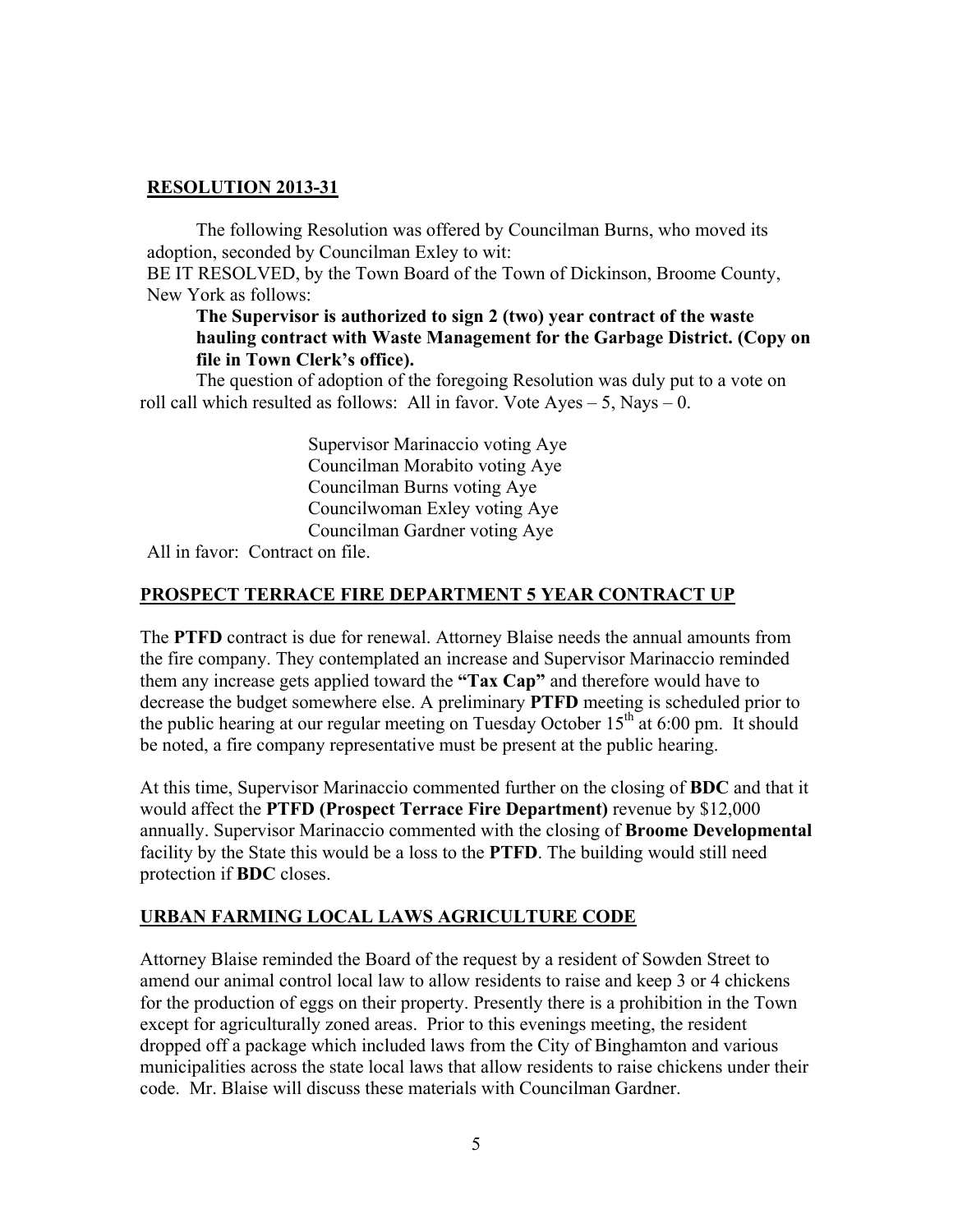### **RESOLUTION 2013-31**

 The following Resolution was offered by Councilman Burns, who moved its adoption, seconded by Councilman Exley to wit:

BE IT RESOLVED, by the Town Board of the Town of Dickinson, Broome County, New York as follows:

### **The Supervisor is authorized to sign 2 (two) year contract of the waste hauling contract with Waste Management for the Garbage District. (Copy on file in Town Clerk's office).**

The question of adoption of the foregoing Resolution was duly put to a vote on roll call which resulted as follows: All in favor. Vote  $Aves - 5$ , Nays – 0.

> Supervisor Marinaccio voting Aye Councilman Morabito voting Aye Councilman Burns voting Aye Councilwoman Exley voting Aye Councilman Gardner voting Aye

All in favor: Contract on file.

### **PROSPECT TERRACE FIRE DEPARTMENT 5 YEAR CONTRACT UP**

The **PTFD** contract is due for renewal. Attorney Blaise needs the annual amounts from the fire company. They contemplated an increase and Supervisor Marinaccio reminded them any increase gets applied toward the **"Tax Cap"** and therefore would have to decrease the budget somewhere else. A preliminary **PTFD** meeting is scheduled prior to the public hearing at our regular meeting on Tuesday October  $15<sup>th</sup>$  at 6:00 pm. It should be noted, a fire company representative must be present at the public hearing.

At this time, Supervisor Marinaccio commented further on the closing of **BDC** and that it would affect the **PTFD (Prospect Terrace Fire Department)** revenue by \$12,000 annually. Supervisor Marinaccio commented with the closing of **Broome Developmental** facility by the State this would be a loss to the **PTFD**. The building would still need protection if **BDC** closes.

# **URBAN FARMING LOCAL LAWS AGRICULTURE CODE**

Attorney Blaise reminded the Board of the request by a resident of Sowden Street to amend our animal control local law to allow residents to raise and keep 3 or 4 chickens for the production of eggs on their property. Presently there is a prohibition in the Town except for agriculturally zoned areas. Prior to this evenings meeting, the resident dropped off a package which included laws from the City of Binghamton and various municipalities across the state local laws that allow residents to raise chickens under their code. Mr. Blaise will discuss these materials with Councilman Gardner.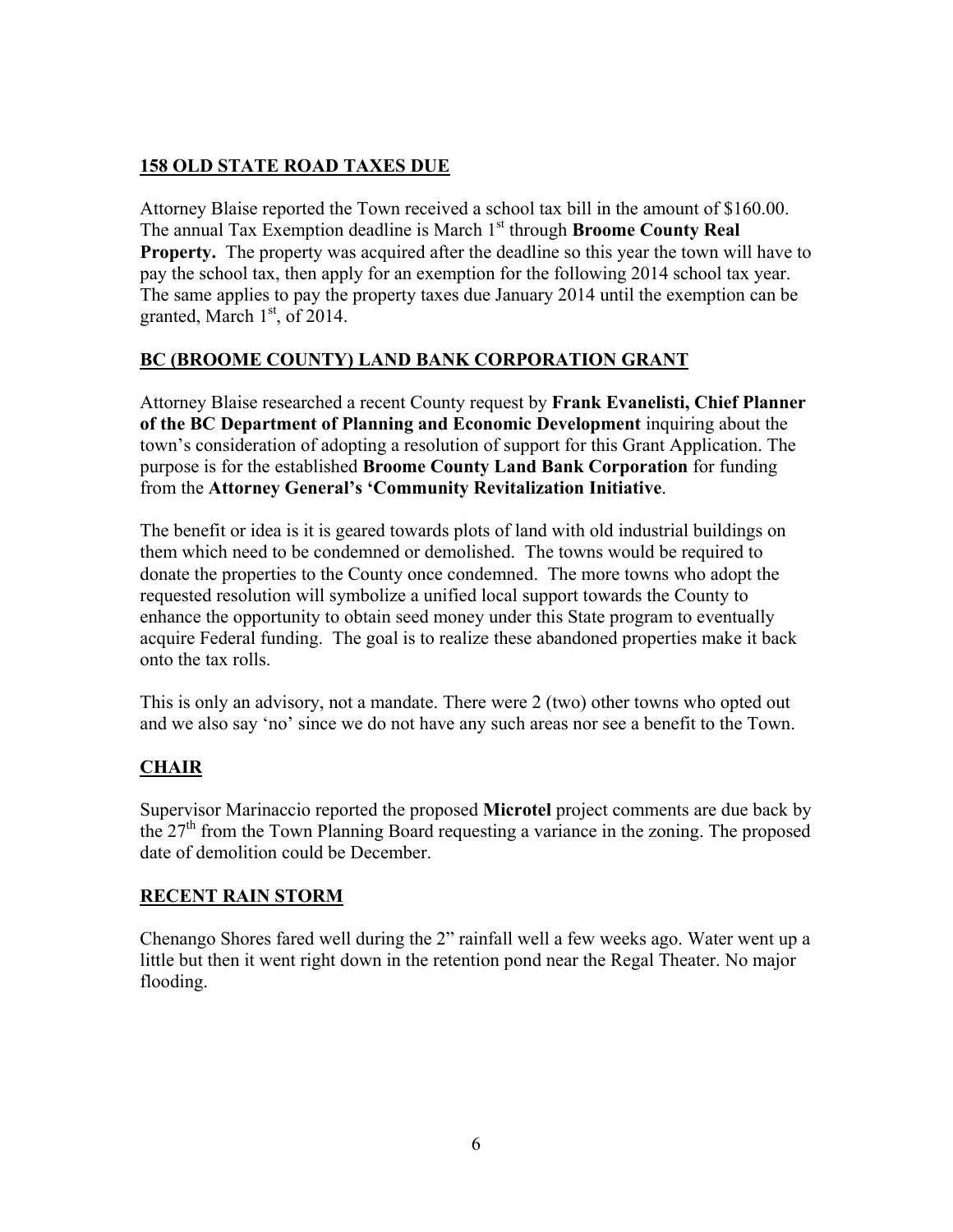# **158 OLD STATE ROAD TAXES DUE**

Attorney Blaise reported the Town received a school tax bill in the amount of \$160.00. The annual Tax Exemption deadline is March 1<sup>st</sup> through **Broome County Real Property.** The property was acquired after the deadline so this year the town will have to pay the school tax, then apply for an exemption for the following 2014 school tax year. The same applies to pay the property taxes due January 2014 until the exemption can be granted, March  $1<sup>st</sup>$ , of 2014.

# **BC (BROOME COUNTY) LAND BANK CORPORATION GRANT**

Attorney Blaise researched a recent County request by **Frank Evanelisti, Chief Planner of the BC Department of Planning and Economic Development** inquiring about the town's consideration of adopting a resolution of support for this Grant Application. The purpose is for the established **Broome County Land Bank Corporation** for funding from the **Attorney General's 'Community Revitalization Initiative**.

The benefit or idea is it is geared towards plots of land with old industrial buildings on them which need to be condemned or demolished. The towns would be required to donate the properties to the County once condemned. The more towns who adopt the requested resolution will symbolize a unified local support towards the County to enhance the opportunity to obtain seed money under this State program to eventually acquire Federal funding. The goal is to realize these abandoned properties make it back onto the tax rolls.

This is only an advisory, not a mandate. There were 2 (two) other towns who opted out and we also say 'no' since we do not have any such areas nor see a benefit to the Town.

# **CHAIR**

Supervisor Marinaccio reported the proposed **Microtel** project comments are due back by the 27<sup>th</sup> from the Town Planning Board requesting a variance in the zoning. The proposed date of demolition could be December.

# **RECENT RAIN STORM**

Chenango Shores fared well during the 2" rainfall well a few weeks ago. Water went up a little but then it went right down in the retention pond near the Regal Theater. No major flooding.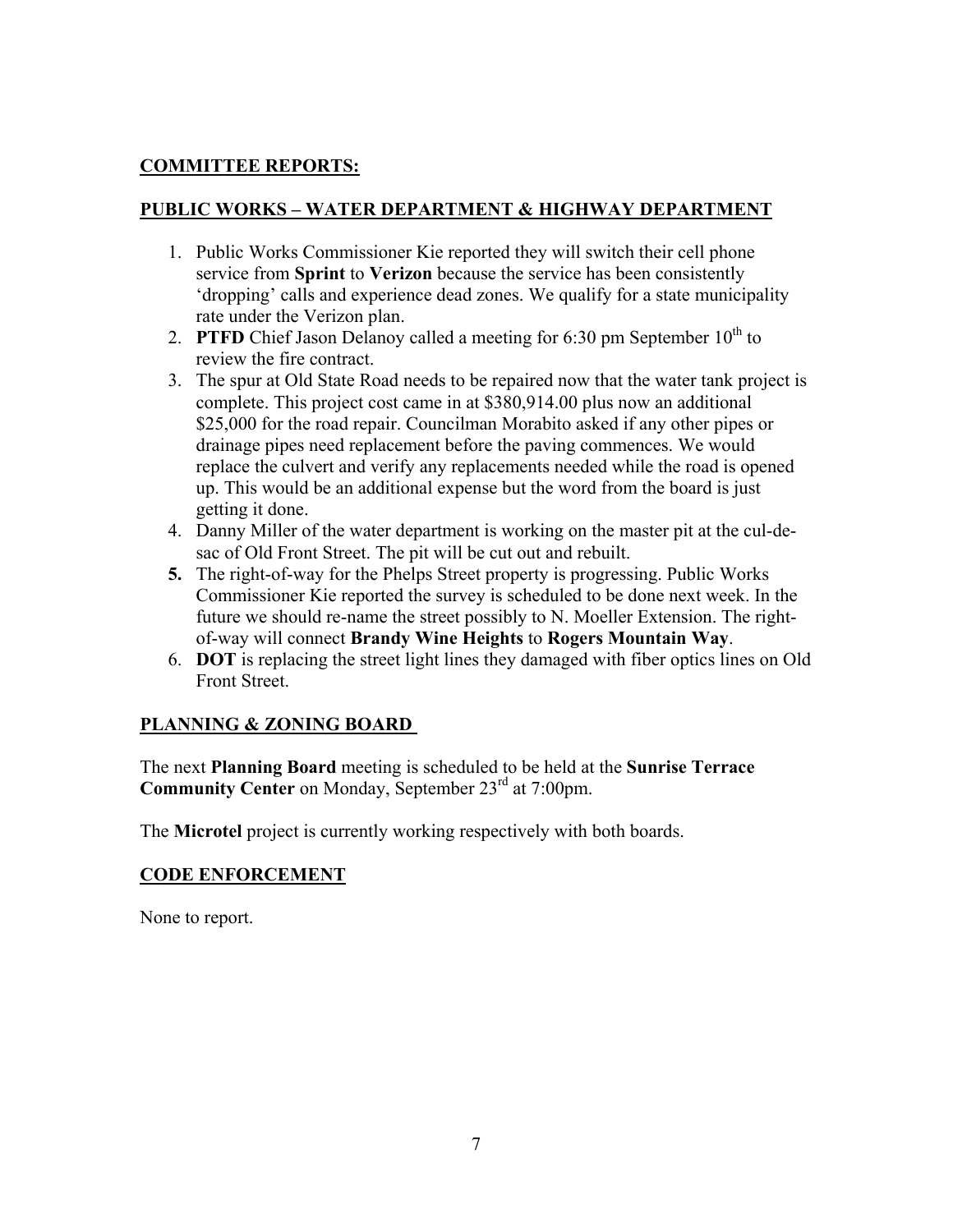# **COMMITTEE REPORTS:**

## **PUBLIC WORKS – WATER DEPARTMENT & HIGHWAY DEPARTMENT**

- 1. Public Works Commissioner Kie reported they will switch their cell phone service from **Sprint** to **Verizon** because the service has been consistently 'dropping' calls and experience dead zones. We qualify for a state municipality rate under the Verizon plan.
- 2. **PTFD** Chief Jason Delanoy called a meeting for 6:30 pm September  $10<sup>th</sup>$  to review the fire contract.
- 3. The spur at Old State Road needs to be repaired now that the water tank project is complete. This project cost came in at \$380,914.00 plus now an additional \$25,000 for the road repair. Councilman Morabito asked if any other pipes or drainage pipes need replacement before the paving commences. We would replace the culvert and verify any replacements needed while the road is opened up. This would be an additional expense but the word from the board is just getting it done.
- 4. Danny Miller of the water department is working on the master pit at the cul-desac of Old Front Street. The pit will be cut out and rebuilt.
- **5.** The right-of-way for the Phelps Street property is progressing. Public Works Commissioner Kie reported the survey is scheduled to be done next week. In the future we should re-name the street possibly to N. Moeller Extension. The rightof-way will connect **Brandy Wine Heights** to **Rogers Mountain Way**.
- 6. **DOT** is replacing the street light lines they damaged with fiber optics lines on Old Front Street.

# **PLANNING & ZONING BOARD**

The next **Planning Board** meeting is scheduled to be held at the **Sunrise Terrace Community Center** on Monday, September 23<sup>rd</sup> at 7:00pm.

The **Microtel** project is currently working respectively with both boards.

### **CODE ENFORCEMENT**

None to report.